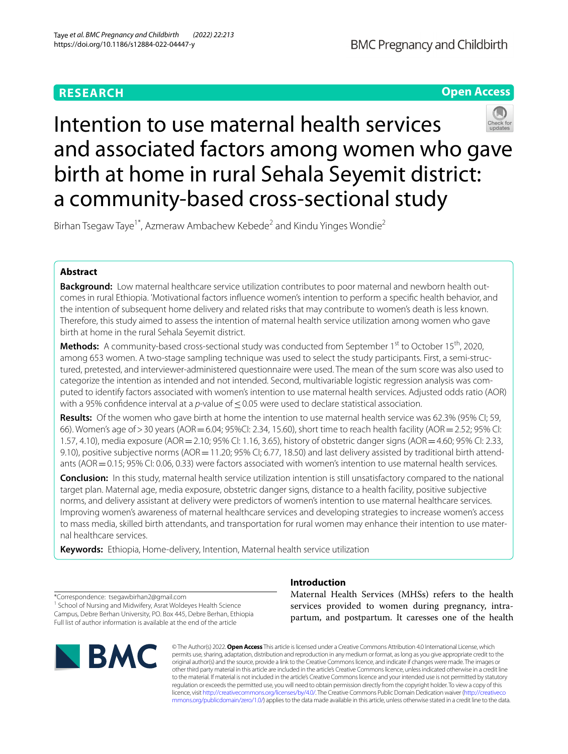# **RESEARCH**



# Intention to use maternal health services and associated factors among women who gave birth at home in rural Sehala Seyemit district: a community-based cross-sectional study

Birhan Tsegaw Taye<sup>1\*</sup>, Azmeraw Ambachew Kebede<sup>2</sup> and Kindu Yinges Wondie<sup>2</sup>

# **Abstract**

**Background:** Low maternal healthcare service utilization contributes to poor maternal and newborn health outcomes in rural Ethiopia. 'Motivational factors infuence women's intention to perform a specifc health behavior, and the intention of subsequent home delivery and related risks that may contribute to women's death is less known. Therefore, this study aimed to assess the intention of maternal health service utilization among women who gave birth at home in the rural Sehala Seyemit district.

**Methods:** A community-based cross-sectional study was conducted from September 1s<sup>t</sup> to October 15<sup>th</sup>, 2020, among 653 women. A two-stage sampling technique was used to select the study participants. First, a semi-structured, pretested, and interviewer-administered questionnaire were used. The mean of the sum score was also used to categorize the intention as intended and not intended. Second, multivariable logistic regression analysis was computed to identify factors associated with women's intention to use maternal health services. Adjusted odds ratio (AOR) with a 95% confidence interval at a *p*-value of ≤0.05 were used to declare statistical association.

**Results:** Of the women who gave birth at home the intention to use maternal health service was 62.3% (95% CI; 59, 66). Women's age of>30 years (AOR=6.04; 95%CI: 2.34, 15.60), short time to reach health facility (AOR=2.52; 95% CI: 1.57, 4.10), media exposure (AOR=2.10; 95% CI: 1.16, 3.65), history of obstetric danger signs (AOR=4.60; 95% CI: 2.33, 9.10), positive subjective norms (AOR = 11.20; 95% CI; 6.77, 18.50) and last delivery assisted by traditional birth attendants (AOR = 0.15; 95% CI: 0.06, 0.33) were factors associated with women's intention to use maternal health services.

**Conclusion:** In this study, maternal health service utilization intention is still unsatisfactory compared to the national target plan. Maternal age, media exposure, obstetric danger signs, distance to a health facility, positive subjective norms, and delivery assistant at delivery were predictors of women's intention to use maternal healthcare services. Improving women's awareness of maternal healthcare services and developing strategies to increase women's access to mass media, skilled birth attendants, and transportation for rural women may enhance their intention to use maternal healthcare services.

**Keywords:** Ethiopia, Home-delivery, Intention, Maternal health service utilization

\*Correspondence: tsegawbirhan2@gmail.com <sup>1</sup> School of Nursing and Midwifery, Asrat Woldeyes Health Science Campus, Debre Berhan University, PO. Box 445, Debre Berhan, Ethiopia Full list of author information is available at the end of the article



# **Introduction**

Maternal Health Services (MHSs) refers to the health services provided to women during pregnancy, intrapartum, and postpartum. It caresses one of the health

© The Author(s) 2022. **Open Access** This article is licensed under a Creative Commons Attribution 4.0 International License, which permits use, sharing, adaptation, distribution and reproduction in any medium or format, as long as you give appropriate credit to the original author(s) and the source, provide a link to the Creative Commons licence, and indicate if changes were made. The images or other third party material in this article are included in the article's Creative Commons licence, unless indicated otherwise in a credit line to the material. If material is not included in the article's Creative Commons licence and your intended use is not permitted by statutory regulation or exceeds the permitted use, you will need to obtain permission directly from the copyright holder. To view a copy of this licence, visit [http://creativecommons.org/licenses/by/4.0/.](http://creativecommons.org/licenses/by/4.0/) The Creative Commons Public Domain Dedication waiver ([http://creativeco](http://creativecommons.org/publicdomain/zero/1.0/) [mmons.org/publicdomain/zero/1.0/](http://creativecommons.org/publicdomain/zero/1.0/)) applies to the data made available in this article, unless otherwise stated in a credit line to the data.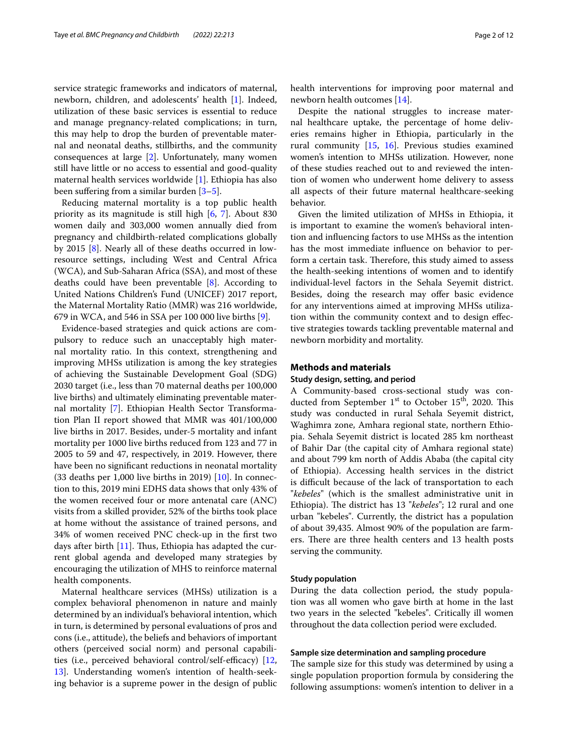service strategic frameworks and indicators of maternal, newborn, children, and adolescents' health [\[1](#page-9-0)]. Indeed, utilization of these basic services is essential to reduce and manage pregnancy-related complications; in turn, this may help to drop the burden of preventable maternal and neonatal deaths, stillbirths, and the community consequences at large [\[2](#page-9-1)]. Unfortunately, many women still have little or no access to essential and good-quality maternal health services worldwide [\[1](#page-9-0)]. Ethiopia has also been suffering from a similar burden  $[3-5]$  $[3-5]$ .

Reducing maternal mortality is a top public health priority as its magnitude is still high [\[6](#page-9-4), [7](#page-9-5)]. About 830 women daily and 303,000 women annually died from pregnancy and childbirth-related complications globally by 2015 [\[8](#page-9-6)]. Nearly all of these deaths occurred in lowresource settings, including West and Central Africa (WCA), and Sub-Saharan Africa (SSA), and most of these deaths could have been preventable [[8\]](#page-9-6). According to United Nations Children's Fund (UNICEF) 2017 report, the Maternal Mortality Ratio (MMR) was 216 worldwide, 679 in WCA, and 546 in SSA per 100 000 live births [\[9](#page-9-7)].

Evidence-based strategies and quick actions are compulsory to reduce such an unacceptably high maternal mortality ratio. In this context, strengthening and improving MHSs utilization is among the key strategies of achieving the Sustainable Development Goal (SDG) 2030 target (i.e., less than 70 maternal deaths per 100,000 live births) and ultimately eliminating preventable maternal mortality [[7](#page-9-5)]. Ethiopian Health Sector Transformation Plan II report showed that MMR was 401/100,000 live births in 2017. Besides, under-5 mortality and infant mortality per 1000 live births reduced from 123 and 77 in 2005 to 59 and 47, respectively, in 2019. However, there have been no signifcant reductions in neonatal mortality (33 deaths per 1,000 live births in 2019)  $[10]$  $[10]$ . In connection to this, 2019 mini EDHS data shows that only 43% of the women received four or more antenatal care (ANC) visits from a skilled provider, 52% of the births took place at home without the assistance of trained persons, and 34% of women received PNC check-up in the frst two days after birth [[11](#page-9-9)]. Thus, Ethiopia has adapted the current global agenda and developed many strategies by encouraging the utilization of MHS to reinforce maternal health components.

Maternal healthcare services (MHSs) utilization is a complex behavioral phenomenon in nature and mainly determined by an individual's behavioral intention, which in turn, is determined by personal evaluations of pros and cons (i.e., attitude), the beliefs and behaviors of important others (perceived social norm) and personal capabilities (i.e., perceived behavioral control/self-efficacy)  $[12, 12]$  $[12, 12]$ [13\]](#page-10-1). Understanding women's intention of health-seeking behavior is a supreme power in the design of public health interventions for improving poor maternal and newborn health outcomes [[14\]](#page-10-2).

Despite the national struggles to increase maternal healthcare uptake, the percentage of home deliveries remains higher in Ethiopia, particularly in the rural community  $[15, 16]$  $[15, 16]$  $[15, 16]$  $[15, 16]$  $[15, 16]$ . Previous studies examined women's intention to MHSs utilization. However, none of these studies reached out to and reviewed the intention of women who underwent home delivery to assess all aspects of their future maternal healthcare-seeking behavior.

Given the limited utilization of MHSs in Ethiopia, it is important to examine the women's behavioral intention and infuencing factors to use MHSs as the intention has the most immediate infuence on behavior to perform a certain task. Therefore, this study aimed to assess the health-seeking intentions of women and to identify individual-level factors in the Sehala Seyemit district. Besides, doing the research may offer basic evidence for any interventions aimed at improving MHSs utilization within the community context and to design efective strategies towards tackling preventable maternal and newborn morbidity and mortality.

# **Methods and materials**

# **Study design, setting, and period**

A Community-based cross-sectional study was conducted from September  $1<sup>st</sup>$  to October 15<sup>th</sup>, 2020. This study was conducted in rural Sehala Seyemit district, Waghimra zone, Amhara regional state, northern Ethiopia. Sehala Seyemit district is located 285 km northeast of Bahir Dar (the capital city of Amhara regional state) and about 799 km north of Addis Ababa (the capital city of Ethiopia). Accessing health services in the district is difficult because of the lack of transportation to each "*kebeles*" (which is the smallest administrative unit in Ethiopia). The district has 13 "kebeles"; 12 rural and one urban "kebeles". Currently, the district has a population of about 39,435. Almost 90% of the population are farmers. There are three health centers and 13 health posts serving the community.

#### **Study population**

During the data collection period, the study population was all women who gave birth at home in the last two years in the selected "kebeles". Critically ill women throughout the data collection period were excluded.

#### **Sample size determination and sampling procedure**

The sample size for this study was determined by using a single population proportion formula by considering the following assumptions: women's intention to deliver in a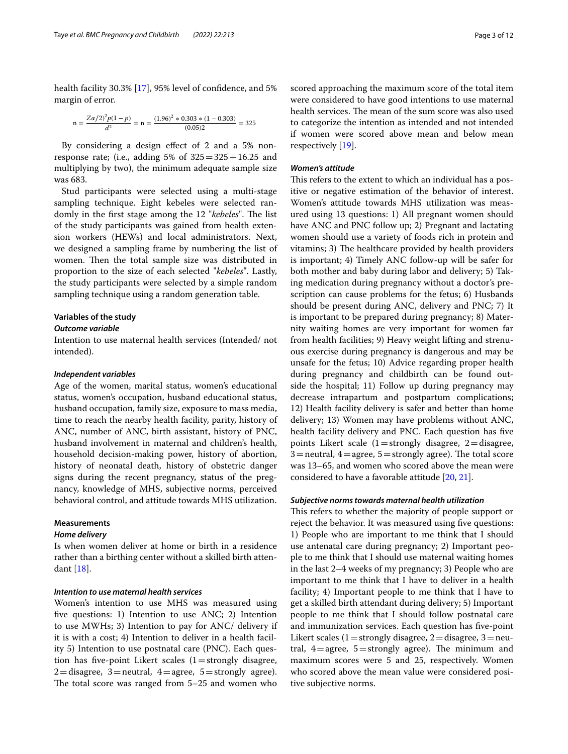health facility 30.3% [[17\]](#page-10-5), 95% level of confdence, and 5% margin of error.

$$
n = \frac{Z\alpha/2^2p(1-p)}{d^2} = n = \frac{(1.96)^2 * 0.303 * (1 - 0.303)}{(0.05)2} = 325
$$

By considering a design efect of 2 and a 5% nonresponse rate; (i.e., adding 5% of  $325 = 325 + 16.25$  and multiplying by two), the minimum adequate sample size was 683.

Stud participants were selected using a multi-stage sampling technique. Eight kebeles were selected randomly in the first stage among the 12 "*kebeles*". The list of the study participants was gained from health extension workers (HEWs) and local administrators. Next, we designed a sampling frame by numbering the list of women. Then the total sample size was distributed in proportion to the size of each selected "*kebeles*". Lastly, the study participants were selected by a simple random sampling technique using a random generation table.

# **Variables of the study**

# *Outcome variable*

Intention to use maternal health services (Intended/ not intended).

#### *Independent variables*

Age of the women, marital status, women's educational status, women's occupation, husband educational status, husband occupation, family size, exposure to mass media, time to reach the nearby health facility, parity, history of ANC, number of ANC, birth assistant, history of PNC, husband involvement in maternal and children's health, household decision-making power, history of abortion, history of neonatal death, history of obstetric danger signs during the recent pregnancy, status of the pregnancy, knowledge of MHS, subjective norms, perceived behavioral control, and attitude towards MHS utilization.

# **Measurements**

#### *Home delivery*

Is when women deliver at home or birth in a residence rather than a birthing center without a skilled birth attendant [[18](#page-10-6)].

# *Intention to use maternal health services*

Women's intention to use MHS was measured using fve questions: 1) Intention to use ANC; 2) Intention to use MWHs; 3) Intention to pay for ANC/ delivery if it is with a cost; 4) Intention to deliver in a health facility 5) Intention to use postnatal care (PNC). Each question has five-point Likert scales  $(1=$ strongly disagree,  $2 =$ disagree, 3 = neutral, 4 = agree, 5 = strongly agree). The total score was ranged from  $5-25$  and women who scored approaching the maximum score of the total item were considered to have good intentions to use maternal health services. The mean of the sum score was also used to categorize the intention as intended and not intended if women were scored above mean and below mean respectively [[19](#page-10-7)].

# *Women's attitude*

This refers to the extent to which an individual has a positive or negative estimation of the behavior of interest. Women's attitude towards MHS utilization was measured using 13 questions: 1) All pregnant women should have ANC and PNC follow up; 2) Pregnant and lactating women should use a variety of foods rich in protein and vitamins; 3) The healthcare provided by health providers is important; 4) Timely ANC follow-up will be safer for both mother and baby during labor and delivery; 5) Taking medication during pregnancy without a doctor's prescription can cause problems for the fetus; 6) Husbands should be present during ANC, delivery and PNC; 7) It is important to be prepared during pregnancy; 8) Maternity waiting homes are very important for women far from health facilities; 9) Heavy weight lifting and strenuous exercise during pregnancy is dangerous and may be unsafe for the fetus; 10) Advice regarding proper health during pregnancy and childbirth can be found outside the hospital; 11) Follow up during pregnancy may decrease intrapartum and postpartum complications; 12) Health facility delivery is safer and better than home delivery; 13) Women may have problems without ANC, health facility delivery and PNC. Each question has fve points Likert scale  $(1=$ strongly disagree,  $2=$ disagree,  $3$ =neutral,  $4$ =agree,  $5$ =strongly agree). The total score was 13–65, and women who scored above the mean were considered to have a favorable attitude [[20,](#page-10-8) [21](#page-10-9)].

#### *Subjective norms towards maternal health utilization*

This refers to whether the majority of people support or reject the behavior. It was measured using fve questions: 1) People who are important to me think that I should use antenatal care during pregnancy; 2) Important people to me think that I should use maternal waiting homes in the last 2–4 weeks of my pregnancy; 3) People who are important to me think that I have to deliver in a health facility; 4) Important people to me think that I have to get a skilled birth attendant during delivery; 5) Important people to me think that I should follow postnatal care and immunization services. Each question has fve-point Likert scales (1 = strongly disagree, 2 = disagree, 3 = neutral,  $4 =$ agree,  $5 =$ strongly agree). The minimum and maximum scores were 5 and 25, respectively. Women who scored above the mean value were considered positive subjective norms.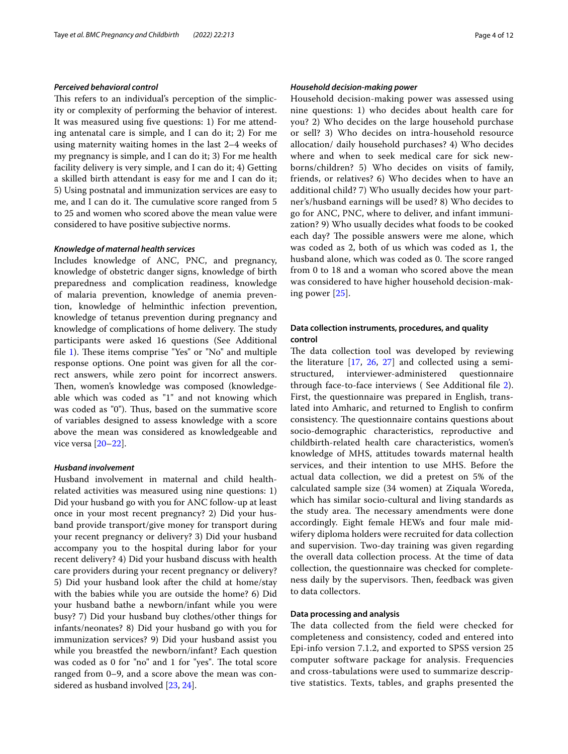#### *Perceived behavioral control*

This refers to an individual's perception of the simplicity or complexity of performing the behavior of interest. It was measured using fve questions: 1) For me attending antenatal care is simple, and I can do it; 2) For me using maternity waiting homes in the last 2–4 weeks of my pregnancy is simple, and I can do it; 3) For me health facility delivery is very simple, and I can do it; 4) Getting a skilled birth attendant is easy for me and I can do it; 5) Using postnatal and immunization services are easy to me, and I can do it. The cumulative score ranged from 5 to 25 and women who scored above the mean value were considered to have positive subjective norms.

# *Knowledge of maternal health services*

Includes knowledge of ANC, PNC, and pregnancy, knowledge of obstetric danger signs, knowledge of birth preparedness and complication readiness, knowledge of malaria prevention, knowledge of anemia prevention, knowledge of helminthic infection prevention, knowledge of tetanus prevention during pregnancy and knowledge of complications of home delivery. The study participants were asked 16 questions (See Additional file [1](#page-9-10)). These items comprise "Yes" or "No" and multiple response options. One point was given for all the correct answers, while zero point for incorrect answers. Then, women's knowledge was composed (knowledgeable which was coded as "1" and not knowing which was coded as "0"). Thus, based on the summative score of variables designed to assess knowledge with a score above the mean was considered as knowledgeable and vice versa [[20](#page-10-8)[–22](#page-10-10)].

# *Husband involvement*

Husband involvement in maternal and child healthrelated activities was measured using nine questions: 1) Did your husband go with you for ANC follow-up at least once in your most recent pregnancy? 2) Did your husband provide transport/give money for transport during your recent pregnancy or delivery? 3) Did your husband accompany you to the hospital during labor for your recent delivery? 4) Did your husband discuss with health care providers during your recent pregnancy or delivery? 5) Did your husband look after the child at home/stay with the babies while you are outside the home? 6) Did your husband bathe a newborn/infant while you were busy? 7) Did your husband buy clothes/other things for infants/neonates? 8) Did your husband go with you for immunization services? 9) Did your husband assist you while you breastfed the newborn/infant? Each question was coded as 0 for "no" and 1 for "yes". The total score ranged from 0–9, and a score above the mean was considered as husband involved [[23,](#page-10-11) [24\]](#page-10-12).

# *Household decision‑making power*

Household decision-making power was assessed using nine questions: 1) who decides about health care for you? 2) Who decides on the large household purchase or sell? 3) Who decides on intra-household resource allocation/ daily household purchases? 4) Who decides where and when to seek medical care for sick newborns/children? 5) Who decides on visits of family, friends, or relatives? 6) Who decides when to have an additional child? 7) Who usually decides how your partner's/husband earnings will be used? 8) Who decides to go for ANC, PNC, where to deliver, and infant immunization? 9) Who usually decides what foods to be cooked each day? The possible answers were me alone, which was coded as 2, both of us which was coded as 1, the husband alone, which was coded as 0. The score ranged from 0 to 18 and a woman who scored above the mean was considered to have higher household decision-making power [[25](#page-10-13)].

# **Data collection instruments, procedures, and quality control**

The data collection tool was developed by reviewing the literature [[17,](#page-10-5) [26,](#page-10-14) [27](#page-10-15)] and collected using a semistructured, interviewer-administered questionnaire through face-to-face interviews ( See Additional fle [2](#page-9-11)). First, the questionnaire was prepared in English, translated into Amharic, and returned to English to confrm consistency. The questionnaire contains questions about socio-demographic characteristics, reproductive and childbirth-related health care characteristics, women's knowledge of MHS, attitudes towards maternal health services, and their intention to use MHS. Before the actual data collection, we did a pretest on 5% of the calculated sample size (34 women) at Ziquala Woreda, which has similar socio-cultural and living standards as the study area. The necessary amendments were done accordingly. Eight female HEWs and four male midwifery diploma holders were recruited for data collection and supervision. Two-day training was given regarding the overall data collection process. At the time of data collection, the questionnaire was checked for completeness daily by the supervisors. Then, feedback was given to data collectors.

# **Data processing and analysis**

The data collected from the field were checked for completeness and consistency, coded and entered into Epi-info version 7.1.2, and exported to SPSS version 25 computer software package for analysis. Frequencies and cross-tabulations were used to summarize descriptive statistics. Texts, tables, and graphs presented the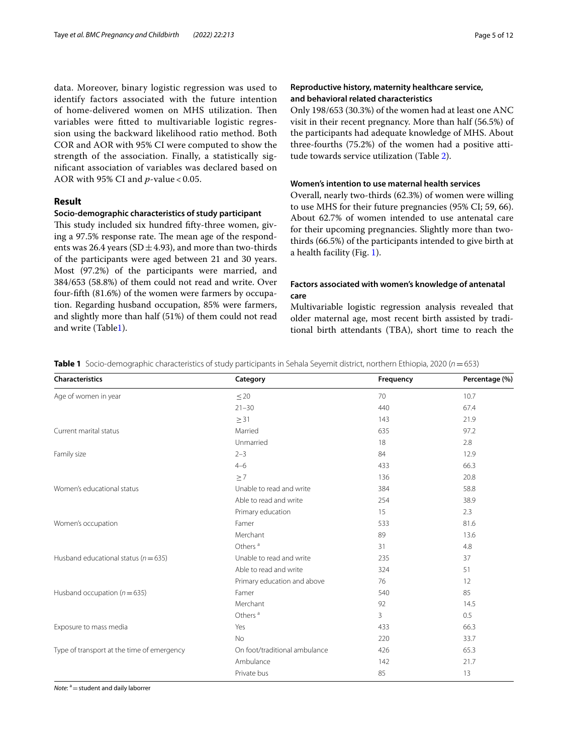data. Moreover, binary logistic regression was used to identify factors associated with the future intention of home-delivered women on MHS utilization. Then variables were ftted to multivariable logistic regression using the backward likelihood ratio method. Both COR and AOR with 95% CI were computed to show the strength of the association. Finally, a statistically signifcant association of variables was declared based on AOR with 95% CI and *p*-value < 0.05.

# **Result**

# **Socio‑demographic characteristics of study participant**

This study included six hundred fifty-three women, giving a 97.5% response rate. The mean age of the respondents was 26.4 years (SD $\pm$ 4.93), and more than two-thirds of the participants were aged between 21 and 30 years. Most (97.2%) of the participants were married, and 384/653 (58.8%) of them could not read and write. Over four-ffth (81.6%) of the women were farmers by occupation. Regarding husband occupation, 85% were farmers, and slightly more than half (51%) of them could not read and write (Tabl[e1](#page-4-0)).

# **Reproductive history, maternity healthcare service, and behavioral related characteristics**

Only 198/653 (30.3%) of the women had at least one ANC visit in their recent pregnancy. More than half (56.5%) of the participants had adequate knowledge of MHS. About three-fourths (75.2%) of the women had a positive attitude towards service utilization (Table [2\)](#page-5-0).

# **Women's intention to use maternal health services**

Overall, nearly two-thirds (62.3%) of women were willing to use MHS for their future pregnancies (95% CI; 59, 66). About 62.7% of women intended to use antenatal care for their upcoming pregnancies. Slightly more than twothirds (66.5%) of the participants intended to give birth at a health facility (Fig. [1](#page-6-0)).

# **Factors associated with women's knowledge of antenatal care**

Multivariable logistic regression analysis revealed that older maternal age, most recent birth assisted by traditional birth attendants (TBA), short time to reach the

<span id="page-4-0"></span>

|  |  |  | Table 1 Socio-demographic characteristics of study participants in Sehala Seyemit district, northern Ethiopia, 2020 (n=653) |
|--|--|--|-----------------------------------------------------------------------------------------------------------------------------|
|--|--|--|-----------------------------------------------------------------------------------------------------------------------------|

| <b>Characteristics</b>                     | Category                      | Frequency | Percentage (%) |
|--------------------------------------------|-------------------------------|-----------|----------------|
| Age of women in year                       | $\leq$ 20                     | 70        | 10.7           |
|                                            | $21 - 30$                     | 440       | 67.4           |
|                                            | $\geq$ 31                     | 143       | 21.9           |
| Current marital status                     | Married                       | 635       | 97.2           |
|                                            | Unmarried                     | 18        | 2.8            |
| Family size                                | $2 - 3$                       | 84        | 12.9           |
|                                            | $4 - 6$                       | 433       | 66.3           |
|                                            | $\geq 7$                      | 136       | 20.8           |
| Women's educational status                 | Unable to read and write      | 384       | 58.8           |
|                                            | Able to read and write        | 254       | 38.9           |
|                                            | Primary education             | 15        | 2.3            |
| Women's occupation                         | Famer                         | 533       | 81.6           |
|                                            | Merchant                      | 89        | 13.6           |
|                                            | Others <sup>a</sup>           | 31        | 4.8            |
| Husband educational status ( $n = 635$ )   | Unable to read and write      | 235       | 37             |
|                                            | Able to read and write        | 324       | 51             |
|                                            | Primary education and above   | 76        | 12             |
| Husband occupation ( $n = 635$ )           | Famer                         | 540       | 85             |
|                                            | Merchant                      | 92        | 14.5           |
|                                            | Others <sup>a</sup>           | 3         | 0.5            |
| Exposure to mass media                     | Yes                           | 433       | 66.3           |
|                                            | <b>No</b>                     | 220       | 33.7           |
| Type of transport at the time of emergency | On foot/traditional ambulance | 426       | 65.3           |
|                                            | Ambulance                     | 142       | 21.7           |
|                                            | Private bus                   | 85        | 13             |

*Note*: <sup>a</sup> = student and daily laborrer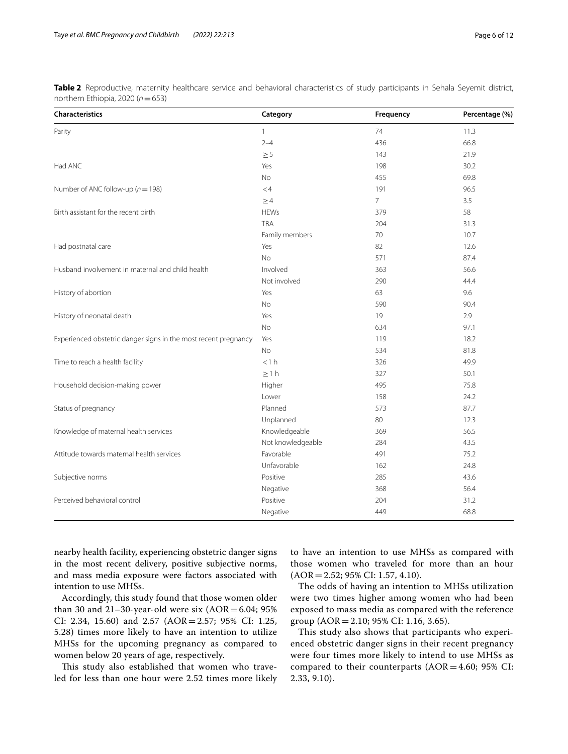<span id="page-5-0"></span>

| Table 2 Reproductive, maternity healthcare service and behavioral characteristics of study participants in Sehala Seyemit district, |  |  |  |  |  |
|-------------------------------------------------------------------------------------------------------------------------------------|--|--|--|--|--|
| northern Ethiopia, 2020 (n = 653)                                                                                                   |  |  |  |  |  |

| Characteristics                                                 | Category          | Frequency      | Percentage (%) |
|-----------------------------------------------------------------|-------------------|----------------|----------------|
| Parity                                                          | $\mathbf{1}$      | 74             | 11.3           |
|                                                                 | $2 - 4$           | 436            | 66.8           |
|                                                                 | $\geq 5$          | 143            | 21.9           |
| Had ANC                                                         | Yes               | 198            | 30.2           |
|                                                                 | No                | 455            | 69.8           |
| Number of ANC follow-up ( $n = 198$ )                           | < 4               | 191            | 96.5           |
|                                                                 | $\geq 4$          | $\overline{7}$ | 3.5            |
| Birth assistant for the recent birth                            | <b>HEWs</b>       | 379            | 58             |
|                                                                 | <b>TBA</b>        | 204            | 31.3           |
|                                                                 | Family members    | 70             | 10.7           |
| Had postnatal care                                              | Yes               | 82             | 12.6           |
|                                                                 | No                | 571            | 87.4           |
| Husband involvement in maternal and child health                | Involved          | 363            | 56.6           |
|                                                                 | Not involved      | 290            | 44.4           |
| History of abortion                                             | Yes               | 63             | 9.6            |
|                                                                 | No                | 590            | 90.4           |
| History of neonatal death                                       | Yes               | 19             | 2.9            |
|                                                                 | <b>No</b>         | 634            | 97.1           |
| Experienced obstetric danger signs in the most recent pregnancy | Yes               | 119            | 18.2           |
|                                                                 | <b>No</b>         | 534            | 81.8           |
| Time to reach a health facility                                 | <1 h              | 326            | 49.9           |
|                                                                 | $\geq 1$ h        | 327            | 50.1           |
| Household decision-making power                                 | Higher            | 495            | 75.8           |
|                                                                 | Lower             | 158            | 24.2           |
| Status of pregnancy                                             | Planned           | 573            | 87.7           |
|                                                                 | Unplanned         | 80             | 12.3           |
| Knowledge of maternal health services                           | Knowledgeable     | 369            | 56.5           |
|                                                                 | Not knowledgeable | 284            | 43.5           |
| Attitude towards maternal health services                       | Favorable         | 491            | 75.2           |
|                                                                 | Unfavorable       | 162            | 24.8           |
| Subjective norms                                                | Positive          | 285            | 43.6           |
|                                                                 | Negative          | 368            | 56.4           |
| Perceived behavioral control                                    | Positive          | 204            | 31.2           |
|                                                                 | Negative          | 449            | 68.8           |

nearby health facility, experiencing obstetric danger signs in the most recent delivery, positive subjective norms, and mass media exposure were factors associated with intention to use MHSs.

Accordingly, this study found that those women older than 30 and 21-30-year-old were six  $(AOR = 6.04; 95\%)$ CI: 2.34, 15.60) and 2.57 (AOR=2.57; 95% CI: 1.25, 5.28) times more likely to have an intention to utilize MHSs for the upcoming pregnancy as compared to women below 20 years of age, respectively.

This study also established that women who traveled for less than one hour were 2.52 times more likely to have an intention to use MHSs as compared with those women who traveled for more than an hour  $(AOR = 2.52; 95\% CI: 1.57, 4.10).$ 

The odds of having an intention to MHSs utilization were two times higher among women who had been exposed to mass media as compared with the reference group (AOR = 2.10; 95% CI: 1.16, 3.65).

This study also shows that participants who experienced obstetric danger signs in their recent pregnancy were four times more likely to intend to use MHSs as compared to their counterparts  $(AOR = 4.60; 95\% \text{ CI:}$ 2.33, 9.10).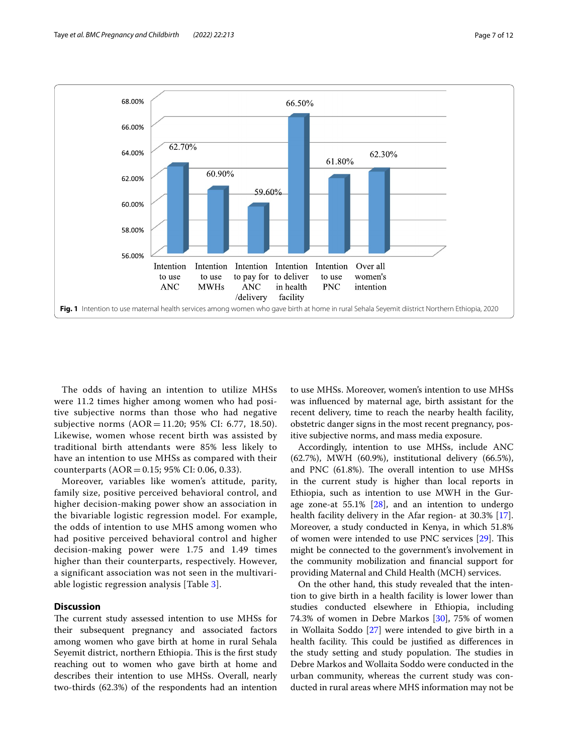

<span id="page-6-0"></span>The odds of having an intention to utilize MHSs were 11.2 times higher among women who had positive subjective norms than those who had negative subjective norms (AOR = 11.20; 95% CI: 6.77, 18.50). Likewise, women whose recent birth was assisted by traditional birth attendants were 85% less likely to have an intention to use MHSs as compared with their counterparts  $(AOR = 0.15; 95\% CI: 0.06, 0.33)$ .

Moreover, variables like women's attitude, parity, family size, positive perceived behavioral control, and higher decision-making power show an association in the bivariable logistic regression model. For example, the odds of intention to use MHS among women who had positive perceived behavioral control and higher decision-making power were 1.75 and 1.49 times higher than their counterparts, respectively. However, a significant association was not seen in the multivariable logistic regression analysis [Table [3\]](#page-7-0).

# **Discussion**

The current study assessed intention to use MHSs for their subsequent pregnancy and associated factors among women who gave birth at home in rural Sehala Seyemit district, northern Ethiopia. This is the first study reaching out to women who gave birth at home and describes their intention to use MHSs. Overall, nearly two-thirds (62.3%) of the respondents had an intention to use MHSs. Moreover, women's intention to use MHSs was infuenced by maternal age, birth assistant for the recent delivery, time to reach the nearby health facility, obstetric danger signs in the most recent pregnancy, positive subjective norms, and mass media exposure.

Accordingly, intention to use MHSs, include ANC (62.7%), MWH (60.9%), institutional delivery (66.5%), and PNC  $(61.8%)$ . The overall intention to use MHSs in the current study is higher than local reports in Ethiopia, such as intention to use MWH in the Gurage zone-at  $55.1\%$  [[28\]](#page-10-16), and an intention to undergo health facility delivery in the Afar region- at 30.3% [\[17](#page-10-5)]. Moreover, a study conducted in Kenya, in which 51.8% of women were intended to use PNC services  $[29]$  $[29]$  $[29]$ . This might be connected to the government's involvement in the community mobilization and fnancial support for providing Maternal and Child Health (MCH) services.

On the other hand, this study revealed that the intention to give birth in a health facility is lower lower than studies conducted elsewhere in Ethiopia, including 74.3% of women in Debre Markos [[30\]](#page-10-18), 75% of women in Wollaita Soddo [\[27](#page-10-15)] were intended to give birth in a health facility. This could be justified as differences in the study setting and study population. The studies in Debre Markos and Wollaita Soddo were conducted in the urban community, whereas the current study was conducted in rural areas where MHS information may not be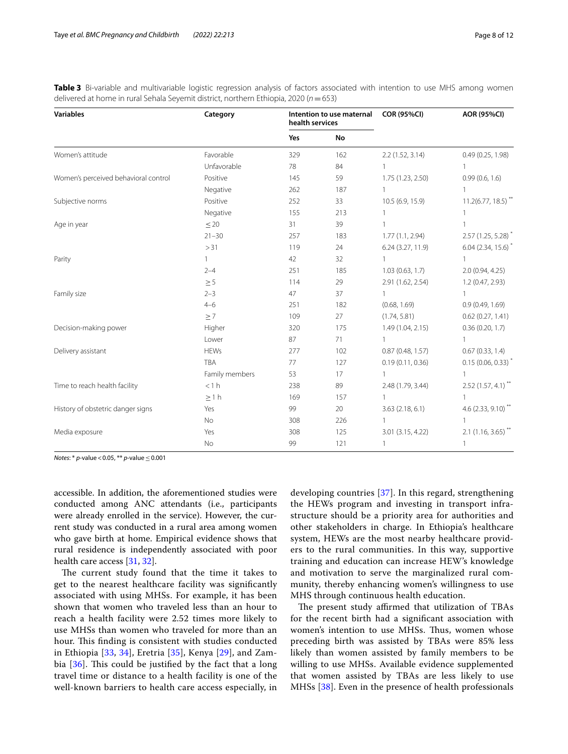<span id="page-7-0"></span>

|  | Table 3 Bi-variable and multivariable logistic regression analysis of factors associated with intention to use MHS among women |  |  |  |  |  |  |
|--|--------------------------------------------------------------------------------------------------------------------------------|--|--|--|--|--|--|
|  | delivered at home in rural Sehala Seyemit district, northern Ethiopia, 2020 ( $n = 653$ )                                      |  |  |  |  |  |  |

| <b>Variables</b>                     | Category       | health services | Intention to use maternal | <b>COR (95%CI)</b> | <b>AOR (95%CI)</b>               |  |
|--------------------------------------|----------------|-----------------|---------------------------|--------------------|----------------------------------|--|
|                                      |                | Yes             | No                        |                    |                                  |  |
| Women's attitude                     | Favorable      | 329             | 162                       | 2.2(1.52, 3.14)    | 0.49(0.25, 1.98)                 |  |
|                                      | Unfavorable    | 78              | 84                        |                    |                                  |  |
| Women's perceived behavioral control | Positive       | 145             | 59                        | 1.75 (1.23, 2.50)  | 0.99(0.6, 1.6)                   |  |
|                                      | Negative       | 262             | 187                       |                    |                                  |  |
| Subjective norms                     | Positive       | 252             | 33                        | 10.5 (6.9, 15.9)   | $11.2(6.77, 18.5)$ <sup>**</sup> |  |
|                                      | Negative       | 155             | 213                       | 1                  |                                  |  |
| Age in year                          | $\leq$ 20      | 31              | 39                        |                    |                                  |  |
|                                      | $21 - 30$      | 257             | 183                       | 1.77(1.1, 2.94)    | 2.57 (1.25, 5.28) <sup>*</sup>   |  |
|                                      | >31            | 119             | 24                        | 6.24 (3.27, 11.9)  | $6.04$ (2.34, 15.6) <sup>*</sup> |  |
| Parity                               | $\mathbf{1}$   | 42              | 32                        | $\mathbf{1}$       |                                  |  |
|                                      | $2 - 4$        | 251             | 185                       | 1.03(0.63, 1.7)    | 2.0(0.94, 4.25)                  |  |
|                                      | $\geq 5$       | 114             | 29                        | 2.91 (1.62, 2.54)  | 1.2(0.47, 2.93)                  |  |
| Family size                          | $2 - 3$        | 47              | 37                        | $\mathbf{1}$       |                                  |  |
|                                      | $4 - 6$        | 251             | 182                       | (0.68, 1.69)       | 0.9(0.49, 1.69)                  |  |
|                                      | $\geq 7$       | 109             | 27                        | (1.74, 5.81)       | 0.62(0.27, 1.41)                 |  |
| Decision-making power                | Higher         | 320             | 175                       | 1.49 (1.04, 2.15)  | 0.36(0.20, 1.7)                  |  |
|                                      | Lower          | 87              | 71                        | 1                  |                                  |  |
| Delivery assistant                   | <b>HEWs</b>    | 277             | 102                       | 0.87(0.48, 1.57)   | 0.67(0.33, 1.4)                  |  |
|                                      | <b>TBA</b>     | 77              | 127                       | 0.19(0.11, 0.36)   | $0.15(0.06, 0.33)$ *             |  |
|                                      | Family members | 53              | 17                        | $\mathbf{1}$       |                                  |  |
| Time to reach health facility        | <1 h           | 238             | 89                        | 2.48 (1.79, 3.44)  | $2.52(1.57, 4.1)$ **             |  |
|                                      | $\geq 1 h$     | 169             | 157                       | 1                  |                                  |  |
| History of obstetric danger signs    | Yes            | 99              | 20                        | 3.63(2.18, 6.1)    | 4.6 $(2.33, 9.10)$ <sup>**</sup> |  |
|                                      | No             | 308             | 226                       |                    |                                  |  |
| Media exposure                       | Yes            | 308             | 125                       | 3.01 (3.15, 4.22)  | $2.1$ (1.16, 3.65) <sup>**</sup> |  |
|                                      | No             | 99              | 121                       | 1                  |                                  |  |

*Notes*: \* *p*-value < 0.05, \*\* *p*-value ≤ 0.001

accessible. In addition, the aforementioned studies were conducted among ANC attendants (i.e., participants were already enrolled in the service). However, the current study was conducted in a rural area among women who gave birth at home. Empirical evidence shows that rural residence is independently associated with poor health care access [[31,](#page-10-19) [32\]](#page-10-20).

The current study found that the time it takes to get to the nearest healthcare facility was signifcantly associated with using MHSs. For example, it has been shown that women who traveled less than an hour to reach a health facility were 2.52 times more likely to use MHSs than women who traveled for more than an hour. This finding is consistent with studies conducted in Ethiopia [[33,](#page-10-21) [34](#page-10-22)], Eretria [[35](#page-10-23)], Kenya [[29](#page-10-17)], and Zambia  $[36]$  $[36]$ . This could be justified by the fact that a long travel time or distance to a health facility is one of the well-known barriers to health care access especially, in developing countries [[37](#page-10-25)]. In this regard, strengthening the HEWs program and investing in transport infrastructure should be a priority area for authorities and other stakeholders in charge. In Ethiopia's healthcare system, HEWs are the most nearby healthcare providers to the rural communities. In this way, supportive training and education can increase HEW's knowledge and motivation to serve the marginalized rural community, thereby enhancing women's willingness to use MHS through continuous health education.

The present study affirmed that utilization of TBAs for the recent birth had a signifcant association with women's intention to use MHSs. Thus, women whose preceding birth was assisted by TBAs were 85% less likely than women assisted by family members to be willing to use MHSs. Available evidence supplemented that women assisted by TBAs are less likely to use MHSs [[38\]](#page-10-26). Even in the presence of health professionals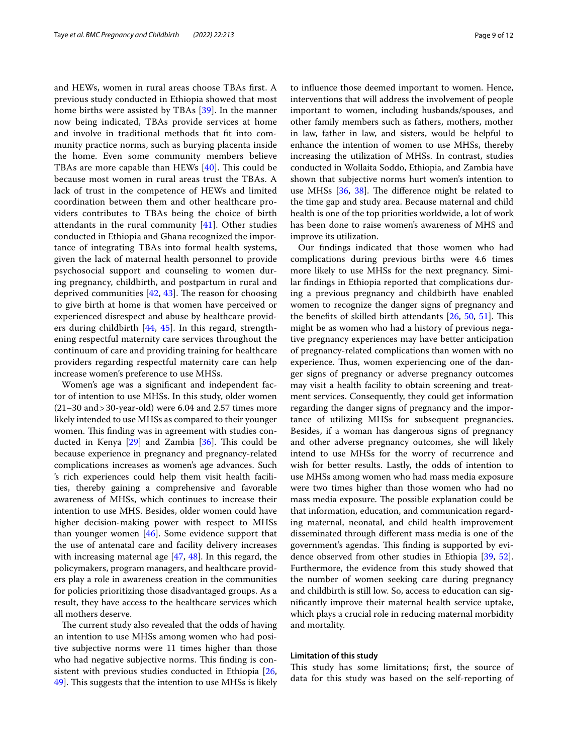and HEWs, women in rural areas choose TBAs frst. A previous study conducted in Ethiopia showed that most home births were assisted by TBAs [[39\]](#page-10-27). In the manner now being indicated, TBAs provide services at home and involve in traditional methods that ft into community practice norms, such as burying placenta inside the home. Even some community members believe TBAs are more capable than HEWs  $[40]$  $[40]$ . This could be because most women in rural areas trust the TBAs. A lack of trust in the competence of HEWs and limited coordination between them and other healthcare providers contributes to TBAs being the choice of birth attendants in the rural community [[41](#page-10-29)]. Other studies conducted in Ethiopia and Ghana recognized the importance of integrating TBAs into formal health systems, given the lack of maternal health personnel to provide psychosocial support and counseling to women during pregnancy, childbirth, and postpartum in rural and deprived communities  $[42, 43]$  $[42, 43]$  $[42, 43]$  $[42, 43]$ . The reason for choosing to give birth at home is that women have perceived or experienced disrespect and abuse by healthcare providers during childbirth [\[44](#page-10-32), [45](#page-10-33)]. In this regard, strengthening respectful maternity care services throughout the continuum of care and providing training for healthcare providers regarding respectful maternity care can help increase women's preference to use MHSs.

Women's age was a signifcant and independent factor of intention to use MHSs. In this study, older women  $(21–30$  and  $>30$ -year-old) were 6.04 and 2.57 times more likely intended to use MHSs as compared to their younger women. This finding was in agreement with studies conducted in Kenya  $[29]$  $[29]$  and Zambia  $[36]$  $[36]$ . This could be because experience in pregnancy and pregnancy-related complications increases as women's age advances. Such 's rich experiences could help them visit health facilities, thereby gaining a comprehensive and favorable awareness of MHSs, which continues to increase their intention to use MHS. Besides, older women could have higher decision-making power with respect to MHSs than younger women [\[46\]](#page-10-34). Some evidence support that the use of antenatal care and facility delivery increases with increasing maternal age [\[47](#page-10-35), [48](#page-10-36)]. In this regard, the policymakers, program managers, and healthcare providers play a role in awareness creation in the communities for policies prioritizing those disadvantaged groups. As a result, they have access to the healthcare services which all mothers deserve.

The current study also revealed that the odds of having an intention to use MHSs among women who had positive subjective norms were 11 times higher than those who had negative subjective norms. This finding is consistent with previous studies conducted in Ethiopia [\[26](#page-10-14), 49. This suggests that the intention to use MHSs is likely to infuence those deemed important to women. Hence, interventions that will address the involvement of people important to women, including husbands/spouses, and other family members such as fathers, mothers, mother in law, father in law, and sisters, would be helpful to enhance the intention of women to use MHSs, thereby increasing the utilization of MHSs. In contrast, studies conducted in Wollaita Soddo, Ethiopia, and Zambia have shown that subjective norms hurt women's intention to use MHSs  $[36, 38]$  $[36, 38]$  $[36, 38]$  $[36, 38]$ . The difference might be related to the time gap and study area. Because maternal and child health is one of the top priorities worldwide, a lot of work has been done to raise women's awareness of MHS and improve its utilization.

Our fndings indicated that those women who had complications during previous births were 4.6 times more likely to use MHSs for the next pregnancy. Similar fndings in Ethiopia reported that complications during a previous pregnancy and childbirth have enabled women to recognize the danger signs of pregnancy and the benefits of skilled birth attendants  $[26, 50, 51]$  $[26, 50, 51]$  $[26, 50, 51]$  $[26, 50, 51]$  $[26, 50, 51]$  $[26, 50, 51]$ . This might be as women who had a history of previous negative pregnancy experiences may have better anticipation of pregnancy-related complications than women with no experience. Thus, women experiencing one of the danger signs of pregnancy or adverse pregnancy outcomes may visit a health facility to obtain screening and treatment services. Consequently, they could get information regarding the danger signs of pregnancy and the importance of utilizing MHSs for subsequent pregnancies. Besides, if a woman has dangerous signs of pregnancy and other adverse pregnancy outcomes, she will likely intend to use MHSs for the worry of recurrence and wish for better results. Lastly, the odds of intention to use MHSs among women who had mass media exposure were two times higher than those women who had no mass media exposure. The possible explanation could be that information, education, and communication regarding maternal, neonatal, and child health improvement disseminated through diferent mass media is one of the government's agendas. This finding is supported by evidence observed from other studies in Ethiopia [[39](#page-10-27), [52](#page-11-2)]. Furthermore, the evidence from this study showed that the number of women seeking care during pregnancy and childbirth is still low. So, access to education can signifcantly improve their maternal health service uptake, which plays a crucial role in reducing maternal morbidity and mortality.

# **Limitation of this study**

This study has some limitations; first, the source of data for this study was based on the self-reporting of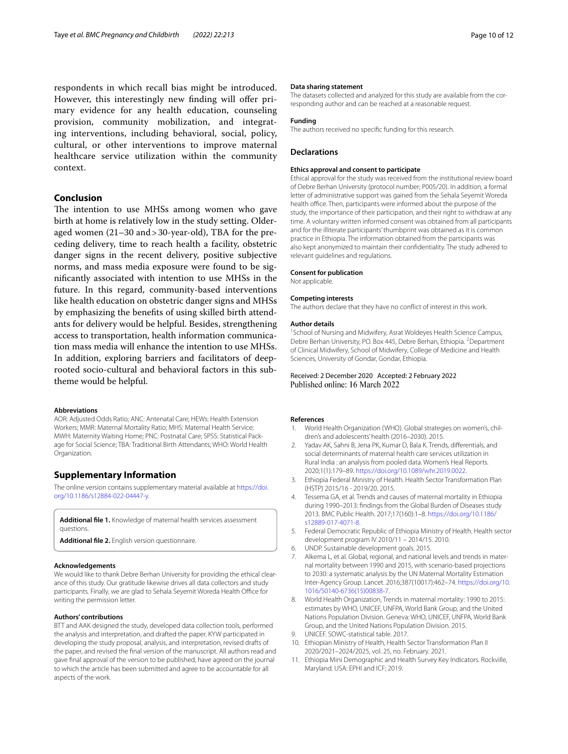respondents in which recall bias might be introduced. However, this interestingly new finding will offer primary evidence for any health education, counseling provision, community mobilization, and integrating interventions, including behavioral, social, policy, cultural, or other interventions to improve maternal healthcare service utilization within the community context.

# **Conclusion**

The intention to use MHSs among women who gave birth at home is relatively low in the study setting. Olderaged women (21–30 and>30-year-old), TBA for the preceding delivery, time to reach health a facility, obstetric danger signs in the recent delivery, positive subjective norms, and mass media exposure were found to be signifcantly associated with intention to use MHSs in the future. In this regard, community-based interventions like health education on obstetric danger signs and MHSs by emphasizing the benefts of using skilled birth attendants for delivery would be helpful. Besides, strengthening access to transportation, health information communication mass media will enhance the intention to use MHSs. In addition, exploring barriers and facilitators of deeprooted socio-cultural and behavioral factors in this subtheme would be helpful.

## **Abbreviations**

AOR: Adjusted Odds Ratio; ANC: Antenatal Care; HEWs: Health Extension Workers; MMR: Maternal Mortality Ratio; MHS: Maternal Health Service; MWH: Maternity Waiting Home; PNC: Postnatal Care; SPSS: Statistical Package for Social Science; TBA: Traditional Birth Attendants; WHO: World Health Organization.

# **Supplementary Information**

The online version contains supplementary material available at [https://doi.](https://doi.org/10.1186/s12884-022-04447-y) [org/10.1186/s12884-022-04447-y.](https://doi.org/10.1186/s12884-022-04447-y)

<span id="page-9-11"></span><span id="page-9-10"></span>**Additional fle 1.** Knowledge of maternal health services assessment questions.

**Additional fle 2.** English version questionnaire.

### **Acknowledgements**

We would like to thank Debre Berhan University for providing the ethical clearance of this study. Our gratitude likewise drives all data collectors and study participants. Finally, we are glad to Sehala Seyemit Woreda Health Office for writing the permission letter.

#### **Authors' contributions**

BTT and AAK designed the study, developed data collection tools, performed the analysis and interpretation, and drafted the paper. KYW participated in developing the study proposal, analysis, and interpretation, revised drafts of the paper, and revised the fnal version of the manuscript. All authors read and gave fnal approval of the version to be published, have agreed on the journal to which the article has been submitted and agree to be accountable for all aspects of the work.

#### **Data sharing statement**

The datasets collected and analyzed for this study are available from the corresponding author and can be reached at a reasonable request.

#### **Funding**

The authors received no specifc funding for this research.

#### **Declarations**

#### **Ethics approval and consent to participate**

Ethical approval for the study was received from the institutional review board of Debre Berhan University (protocol number; P005/20). In addition, a formal letter of administrative support was gained from the Sehala Seyemit Woreda health office. Then, participants were informed about the purpose of the study, the importance of their participation, and their right to withdraw at any time. A voluntary written informed consent was obtained from all participants and for the illiterate participants' thumbprint was obtained as it is common practice in Ethiopia. The information obtained from the participants was also kept anonymized to maintain their confdentiality. The study adhered to relevant guidelines and regulations.

#### **Consent for publication**

Not applicable.

#### **Competing interests**

The authors declare that they have no confict of interest in this work.

#### **Author details**

<sup>1</sup> School of Nursing and Midwifery, Asrat Woldeyes Health Science Campus, Debre Berhan University, PO. Box 445, Debre Berhan, Ethiopia. <sup>2</sup> Department of Clinical Midwifery, School of Midwifery, College of Medicine and Health Sciences, University of Gondar, Gondar, Ethiopia.

# Received: 2 December 2020 Accepted: 2 February 2022

#### **References**

- <span id="page-9-0"></span>1. World Health Organization (WHO). Global strategies on women's, children's and adolescents' health (2016–2030). 2015.
- <span id="page-9-1"></span>Yadav AK, Sahni B, Jena PK, Kumar D, Bala K. Trends, differentials, and social determinants of maternal health care services utilization in Rural India : an analysis from pooled data. Women's Heal Reports. 2020;1(1):179–89.<https://doi.org/10.1089/whr.2019.0022>.
- <span id="page-9-2"></span>3. Ethiopia Federal Ministry of Health. Health Sector Transformation Plan (HSTP) 2015/16 - 2019/20. 2015.
- 4. Tessema GA, et al. Trends and causes of maternal mortality in Ethiopia during 1990–2013: fndings from the Global Burden of Diseases study 2013. BMC Public Health. 2017;17(160):1–8. [https://doi.org/10.1186/](https://doi.org/10.1186/s12889-017-4071-8) [s12889-017-4071-8.](https://doi.org/10.1186/s12889-017-4071-8)
- <span id="page-9-3"></span>5. Federal Democratic Republic of Ethiopia Ministry of Health. Health sector development program IV 2010/11 – 2014/15. 2010.
- <span id="page-9-4"></span>6. UNDP. Sustainable development goals. 2015.
- <span id="page-9-5"></span>7. Alkema L, et al. Global, regional, and national levels and trends in maternal mortality between 1990 and 2015, with scenario-based projections to 2030: a systematic analysis by the UN Maternal Mortality Estimation Inter-Agency Group. Lancet. 2016;387(10017):462–74. [https://doi.org/10.](https://doi.org/10.1016/S0140-6736(15)00838-7) [1016/S0140-6736\(15\)00838-7](https://doi.org/10.1016/S0140-6736(15)00838-7).
- <span id="page-9-6"></span>8. World Health Organization, Trends in maternal mortality: 1990 to 2015: estimates by WHO, UNICEF, UNFPA, World Bank Group, and the United Nations Population Division. Geneva: WHO, UNICEF, UNFPA, World Bank Group, and the United Nations Population Division. 2015.
- <span id="page-9-7"></span>9. UNICEF. SOWC-statistical table. 2017.
- <span id="page-9-8"></span>10. Ethiopian Ministry of Health, Health Sector Transformation Plan II 2020/2021–2024/2025, vol. 25, no. February. 2021.
- <span id="page-9-9"></span>11. Ethiopia Mini Demographic and Health Survey Key Indicators. Rockville, Maryland. USA: EPHI and ICF; 2019.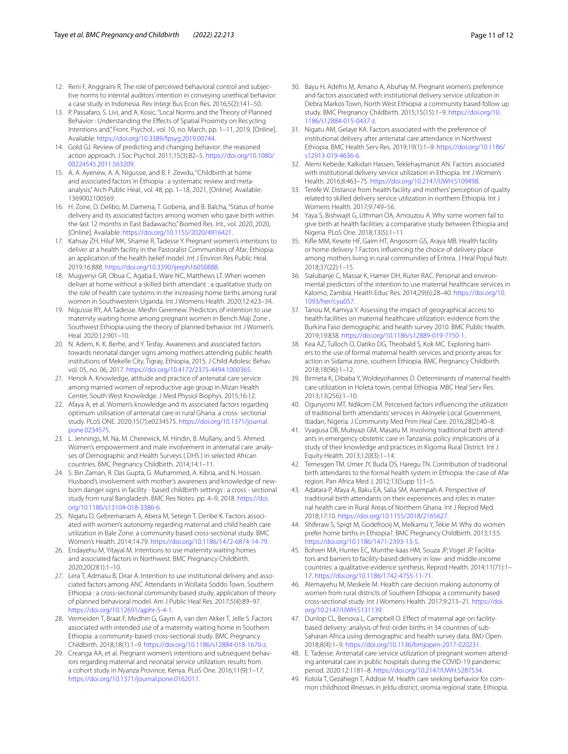- <span id="page-10-0"></span>12. Reni F, Anggraini R. The role of perceived behavioral control and subjective norms to internal auditors' intention in conveying unethical behavior: a case study in Indonesia. Rev Integr Bus Econ Res. 2016;5(2):141–50.
- <span id="page-10-1"></span>13. P. Passafaro, S. Livi, and A. Kosic, "Local Norms and the Theory of Planned Behavior : Understanding the Efects of Spatial Proximity on Recycling Intentions and," Front. Psychol., vol. 10, no. March, pp. 1-11, 2019, [Online]. Available: <https://doi.org/10.3389/fpsyg.2019.00744>.
- <span id="page-10-2"></span>14. Gold GJ. Review of predicting and changing behavior: the reasoned action approach. J Soc Psychol. 2011;15(3):82–5. [https://doi.org/10.1080/](https://doi.org/10.1080/00224545.2011.563209) [00224545.2011.563209](https://doi.org/10.1080/00224545.2011.563209).
- <span id="page-10-3"></span>15. A. A. Ayenew, A. A. Nigussie, and B. F. Zewdu, "Childbirth at home and associated factors in Ethiopia : a systematic review and metaanalysis," Arch Public Heal., vol. 48, pp. 1–18, 2021, [Online]. Available: 1369002100569.
- <span id="page-10-4"></span>16. H. Zone, D. Delibo, M. Damena, T. Gobena, and B. Balcha, "Status of home delivery and its associated factors among women who gave birth within the last 12 months in East Badawacho," Biomed Res. Int., vol. 2020, 2020, [Online]. Available:<https://doi.org/10.1155/2020/4916421>.
- <span id="page-10-5"></span>17. Kahsay ZH, Hiluf MK, Shamie R, Tadesse Y. Pregnant women's intentions to deliver at a health facility in the Pastoralist Communities of Afar, Ethiopia: an application of the health belief model. Int J Environ Res Public Heal. 2019;16:888. [https://doi.org/10.3390/ijerph16050888.](https://doi.org/10.3390/ijerph16050888)
- <span id="page-10-6"></span>18. Mugyenyi GR, Obua C, Agaba E, Ware NC, Matthews LT. When women deliver at home without a skilled birth attendant : a qualitative study on the role of health care systems in the increasing home births among rural women in Southwestern Uganda. Int J Womens Health. 2020;12:423–34.
- <span id="page-10-7"></span>19. Nigussie RY, AA Tadesse. Mesfn Geremew. Predictors of intention to use maternity waiting home among pregnant women in Bench Maji Zone , Southwest Ethiopia using the theory of planned behavior. Int J Women's Heal. 2020:12:901–10.
- <span id="page-10-8"></span>20. N. Adem, K. K. Berhe, and Y. Tesfay. Awareness and associated factors towards neonatal danger signs among mothers attending public health institutions of Mekelle City, Tigray, Ethiopia, 2015. J Child Adolesc Behav. vol. 05, no. 06, 2017. [https://doi.org/10.4172/2375-4494.1000365.](https://doi.org/10.4172/2375-4494.1000365)
- <span id="page-10-9"></span>21. Henok A. Knowledge, attitude and practice of antenatal care service among married women of reproductive age group in Mizan Health Center, South West Knowledge. J Med Physiol Biophys. 2015;16:12.
- <span id="page-10-10"></span>22. Afaya A, et al. Women's knowledge and its associated factors regarding optimum utilisation of antenatal care in rural Ghana: a cross- sectional study. PLoS ONE. 2020;15(7):e0234575. [https://doi.org/10.1371/journal.](https://doi.org/10.1371/journal.pone.0234575) [pone.0234575](https://doi.org/10.1371/journal.pone.0234575).
- <span id="page-10-11"></span>23. L. Jennings, M. Na, M. Cherewick, M. Hindin, B. Mullany, and S. Ahmed. Women's empowerment and male involvement in antenatal care :analyses of Demographic and Health Surveys ( DHS ) in selected African countries. BMC Pregnancy Childbirth. 2014;14:1–11.
- <span id="page-10-12"></span>24. S. Bin Zaman, R. Das Gupta, G. Muhammed, A. Kibria, and N. Hossain. Husband's involvement with mother's awareness and knowledge of newborn danger signs in facility - based childbirth settings : a cross - sectional study from rural Bangladesh. BMC Res Notes. pp. 4–9, 2018. [https://doi.](https://doi.org/10.1186/s13104-018-3386-6) [org/10.1186/s13104-018-3386-6.](https://doi.org/10.1186/s13104-018-3386-6)
- <span id="page-10-13"></span>25. Nigatu D, Gebremariam A, Abera M, Setegn T, Deribe K. Factors associated with women's autonomy regarding maternal and child health care utilization in Bale Zone: a community based cross-sectional study. BMC Women's Health. 2014;14:79. <https://doi.org/10.1186/1472-6874-14-79>.
- <span id="page-10-14"></span>26. Endayehu M, Yitayal M. Intentions to use maternity waiting homes and associated factors in Northwest. BMC Pregnancy Childbirth. 2020;20(281):1–10.
- <span id="page-10-15"></span>27. Lera T, Admasu B, Dirar A. Intention to use institutional delivery and associated factors among ANC Attendants in Wollaita Soddo Town, Southern Ethiopia : a cross-sectional community based study, application of theory of planned behavioral model. Am J Public Heal Res. 2017;5(4):89–97. <https://doi.org/10.12691/ajphr-5-4-1>.
- <span id="page-10-16"></span>28. Vermeiden T, Braat F, Medhin G, Gaym A, van den Akker T, Jelle S. Factors associated with intended use of a maternity waiting home in Southern Ethiopia: a community-based cross-sectional study. BMC Pregnancy Childbirth. 2018;18(1):1–9. <https://doi.org/10.1186/s12884-018-1670-z>.
- <span id="page-10-17"></span>29. Creanga AA, et al. Pregnant women's intentions and subsequent behaviors regarding maternal and neonatal service utilization: results from a cohort study in Nyanza Province, Kenya. PLoS One. 2016;11(9):1–17. <https://doi.org/10.1371/journal.pone.0162017>.
- <span id="page-10-18"></span>30. Bayu H, Adefris M, Amano A, Abuhay M. Pregnant women's preference and factors associated with institutional delivery service utilization in Debra Markos Town, North West Ethiopia: a community based follow up study. BMC Pregnancy Childbirth. 2015;15(15):1–9. [https://doi.org/10.](https://doi.org/10.1186/s12884-015-0437-z) [1186/s12884-015-0437-z](https://doi.org/10.1186/s12884-015-0437-z).
- <span id="page-10-19"></span>31. Nigatu AM, Gelaye KA. Factors associated with the preference of institutional delivery after antenatal care attendance in Northwest Ethiopia. BMC Health Serv Res. 2019;19(1):1–9. [https://doi.org/10.1186/](https://doi.org/10.1186/s12913-019-4636-6) [s12913-019-4636-6.](https://doi.org/10.1186/s12913-019-4636-6)
- <span id="page-10-20"></span>32. Alemi Kebede, Kalkidan Hassen, Teklehaymanot AN. Factors associated with institutional delivery service utilization in Ethiopia. Int J Women's Health. 2016;8:463–75. [https://doi.org/10.2147/IJWH.S109498.](https://doi.org/10.2147/IJWH.S109498)
- <span id="page-10-21"></span>33. Terefe W. Distance from health facility and mothers' perception of quality related to skilled delivery service utilization in northern Ethiopia. Int J Womens Health. 2017;9:749–56.
- <span id="page-10-22"></span>34. Yaya S, Bishwajit G, Uthman OA, Amouzou A. Why some women fail to give birth at health facilities: a comparative study between Ethiopia and Nigeria. PLoS One. 2018;13(5):1–11.
- <span id="page-10-23"></span>35. Kife MM, Kesete HF, Gaim HT, Angosom GS, Araya MB. Health facility or home delivery ? Factors infuencing the choice of delivery place among mothers living in rural communities of Eritrea. J Heal Popul Nutr. 2018;37(22):1–15.
- <span id="page-10-24"></span>36. Sialubanje C, Massar K, Hamer DH, Ruiter RAC. Personal and environmental predictors of the intention to use maternal healthcare services in Kalomo, Zambia. Health Educ Res. 2014;29(6):28–40. [https://doi.org/10.](https://doi.org/10.1093/her/cyu057) [1093/her/cyu057](https://doi.org/10.1093/her/cyu057).
- <span id="page-10-25"></span>37. Tanou M, Kamiya Y. Assessing the impact of geographical access to health facilities on maternal healthcare utilization: evidence from the Burkina Faso demographic and health survey 2010. BMC Public Health. 2019;19:838. <https://doi.org/10.1186/s12889-019-7150-1>.
- <span id="page-10-26"></span>38. Kea AZ, Tulloch O, Datiko DG, Theobald S, Kok MC. Exploring barriers to the use of formal maternal health services and priority areas for action in Sidama zone, southern Ethiopia. BMC Pregnancy Childbirth. 2018;18(96):1–12.
- <span id="page-10-27"></span>39. Birmeta K, Dibaba Y, Woldeyohannes D. Determinants of maternal health care utilization in Holeta town, central Ethiopia. MBC Heal Serv Res. 2013;13(256):1–10.
- <span id="page-10-28"></span>40. Ogunyomi MT, Ndikom CM. Perceived factors infuencing the utilization of traditional birth attendants' services in Akinyele Local Government, Ibadan, Nigeria. J Community Med Prim Heal Care. 2016;28(2):40–8.
- <span id="page-10-29"></span>41. Vyagusa DB, Mubyazi GM, Masatu M. Involving traditional birth attendants in emergency obstetric care in Tanzania: policy implications of a study of their knowledge and practices in Kigoma Rural District. Int J Equity Health. 2013;12(83):1–14.
- <span id="page-10-30"></span>42. Temesgen TM, Umer JY, Buda DS, Haregu TN. Contribution of traditional birth attendants to the formal health system in Ethiopia: the case of Afar region. Pan Africa Med J. 2012;13(Supp 1):1–5.
- <span id="page-10-31"></span>43. Adatara P, Afaya A, Baku EA, Salia SM, Asempah A. Perspective of traditional birth attendants on their experiences and roles in maternal health care in Rural Areas of Northern Ghana. Int J Reprod Med. 2018;17:10. <https://doi.org/10.1155/2018/2165627>.
- <span id="page-10-32"></span>44. Shiferaw S, Spigt M, Godefrooij M, Melkamu Y, Tekie M. Why do women prefer home births in Ethiopia?. BMC Pregnancy Childbirth. 2013;13:5. [https://doi.org/10.1186/1471-2393-13-5.](https://doi.org/10.1186/1471-2393-13-5)
- <span id="page-10-33"></span>45. Bohren MA, Hunter EC, Munthe-kaas HM, Souza JP, Vogel JP. Facilitators and barriers to facility-based delivery in low- and middle-income countries: a qualitative evidence synthesis. Reprod Health. 2014;11(71):1– 17. <https://doi.org/10.1186/1742-4755-11-71>.
- <span id="page-10-34"></span>46. Alemayehu M, Meskele M. Health care decision making autonomy of women from rural districts of Southern Ethiopia: a community based cross-sectional study. Int J Womens Health. 2017;9:213–21. [https://doi.](https://doi.org/10.2147/IJWH.S131139) [org/10.2147/IJWH.S131139](https://doi.org/10.2147/IJWH.S131139).
- <span id="page-10-35"></span>47. Dunlop CL, Benova L, Campbell O. Effect of maternal age on facilitybased delivery: analysis of frst-order births in 34 countries of sub-Saharan Africa using demographic and health survey data. BMJ Open. 2018;8(4):1–9. [https://doi.org/10.1136/bmjopen-2017-020231.](https://doi.org/10.1136/bmjopen-2017-020231)
- <span id="page-10-36"></span>48. E. Tadesse. Antenatal care service utilization of pregnant women attending antenatal care in public hospitals during the COVID-19 pandemic period. 2020:12:1181–8. <https://doi.org/10.2147/IJWH.S287534>.
- <span id="page-10-37"></span>49. Kolola T, Gezahegn T, Addisie M. Health care seeking behavior for common childhood illnesses in jeldu district, oromia regional state, Ethiopia.